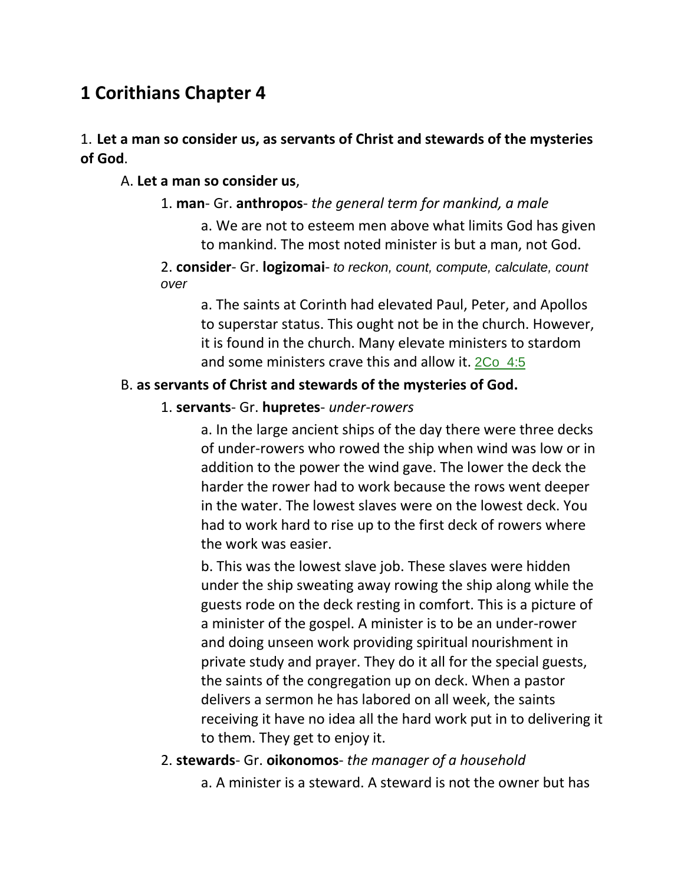# **1 Corithians Chapter 4**

### 1. **Let a man so consider us, as servants of Christ and stewards of the mysteries of God**.

#### A. **Let a man so consider us**,

#### 1. **man**- Gr. **anthropos**- *the general term for mankind, a male*

a. We are not to esteem men above what limits God has given to mankind. The most noted minister is but a man, not God.

2. **consider**- Gr. **logizomai**- *to reckon, count, compute, calculate, count over*

a. The saints at Corinth had elevated Paul, Peter, and Apollos to superstar status. This ought not be in the church. However, it is found in the church. Many elevate ministers to stardom and some ministers crave this and allow it. 2Co\_4:5

#### B. **as servants of Christ and stewards of the mysteries of God.**

#### 1. **servants**- Gr. **hupretes**- *under-rowers*

a. In the large ancient ships of the day there were three decks of under-rowers who rowed the ship when wind was low or in addition to the power the wind gave. The lower the deck the harder the rower had to work because the rows went deeper in the water. The lowest slaves were on the lowest deck. You had to work hard to rise up to the first deck of rowers where the work was easier.

b. This was the lowest slave job. These slaves were hidden under the ship sweating away rowing the ship along while the guests rode on the deck resting in comfort. This is a picture of a minister of the gospel. A minister is to be an under-rower and doing unseen work providing spiritual nourishment in private study and prayer. They do it all for the special guests, the saints of the congregation up on deck. When a pastor delivers a sermon he has labored on all week, the saints receiving it have no idea all the hard work put in to delivering it to them. They get to enjoy it.

#### 2. **stewards**- Gr. **oikonomos**- *the manager of a household*

a. A minister is a steward. A steward is not the owner but has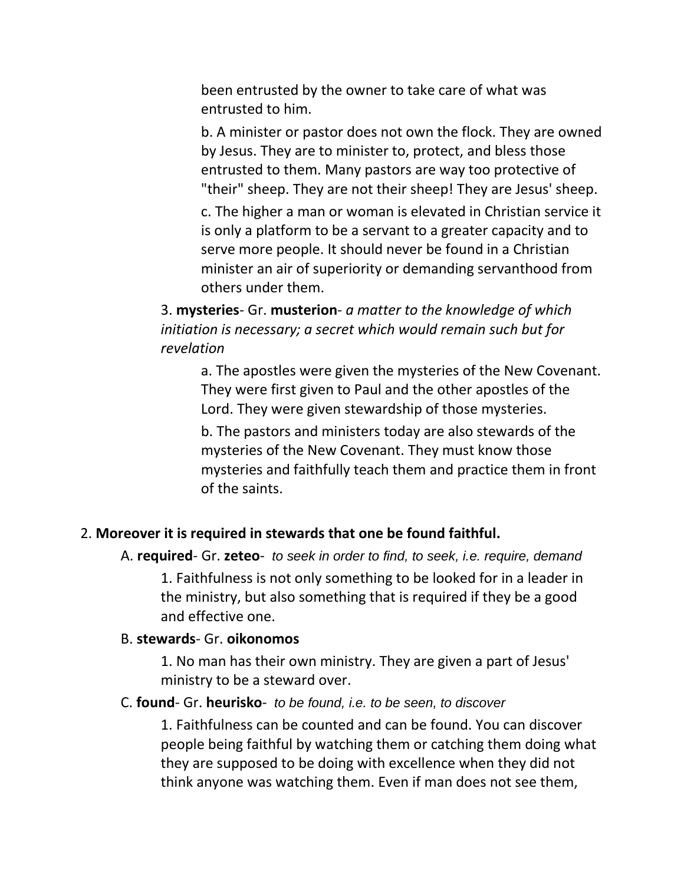been entrusted by the owner to take care of what was entrusted to him.

b. A minister or pastor does not own the flock. They are owned by Jesus. They are to minister to, protect, and bless those entrusted to them. Many pastors are way too protective of "their" sheep. They are not their sheep! They are Jesus' sheep.

c. The higher a man or woman is elevated in Christian service it is only a platform to be a servant to a greater capacity and to serve more people. It should never be found in a Christian minister an air of superiority or demanding servanthood from others under them.

3. **mysteries**- Gr. **musterion**- *a matter to the knowledge of which initiation is necessary; a secret which would remain such but for revelation*

a. The apostles were given the mysteries of the New Covenant. They were first given to Paul and the other apostles of the Lord. They were given stewardship of those mysteries.

b. The pastors and ministers today are also stewards of the mysteries of the New Covenant. They must know those mysteries and faithfully teach them and practice them in front of the saints.

#### 2. **Moreover it is required in stewards that one be found faithful.**

A. **required**- Gr. **zeteo**- *to seek in order to find, to seek, i.e. require, demand*

1. Faithfulness is not only something to be looked for in a leader in the ministry, but also something that is required if they be a good and effective one.

#### B. **stewards**- Gr. **oikonomos**

1. No man has their own ministry. They are given a part of Jesus' ministry to be a steward over.

#### C. **found**- Gr. **heurisko**- *to be found, i.e. to be seen, to discover*

1. Faithfulness can be counted and can be found. You can discover people being faithful by watching them or catching them doing what they are supposed to be doing with excellence when they did not think anyone was watching them. Even if man does not see them,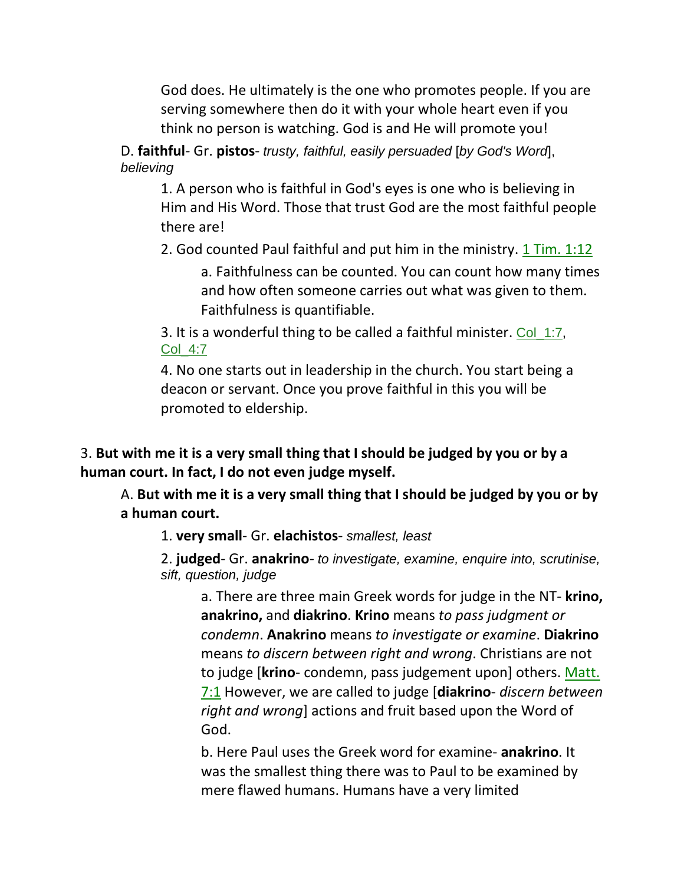God does. He ultimately is the one who promotes people. If you are serving somewhere then do it with your whole heart even if you think no person is watching. God is and He will promote you!

D. **faithful**- Gr. **pistos**- *trusty, faithful, easily persuaded* [*by God's Word*], *believing*

1. A person who is faithful in God's eyes is one who is believing in Him and His Word. Those that trust God are the most faithful people there are!

2. God counted Paul faithful and put him in the ministry.  $1$  Tim.  $1:12$ 

a. Faithfulness can be counted. You can count how many times and how often someone carries out what was given to them. Faithfulness is quantifiable.

3. It is a wonderful thing to be called a faithful minister. Col\_1:7, Col\_4:7

4. No one starts out in leadership in the church. You start being a deacon or servant. Once you prove faithful in this you will be promoted to eldership.

3. **But with me it is a very small thing that I should be judged by you or by a human court. In fact, I do not even judge myself.**

A. **But with me it is a very small thing that I should be judged by you or by a human court.**

1. **very small**- Gr. **elachistos**- *smallest, least*

2. **judged**- Gr. **anakrino**- *to investigate, examine, enquire into, scrutinise, sift, question, judge*

a. There are three main Greek words for judge in the NT- **krino, anakrino,** and **diakrino**. **Krino** means *to pass judgment or condemn*. **Anakrino** means *to investigate or examine*. **Diakrino**  means *to discern between right and wrong*. Christians are not to judge [**krino**- condemn, pass judgement upon] others. Matt. 7:1 However, we are called to judge [**diakrino**- *discern between right and wrong*] actions and fruit based upon the Word of God.

b. Here Paul uses the Greek word for examine- **anakrino**. It was the smallest thing there was to Paul to be examined by mere flawed humans. Humans have a very limited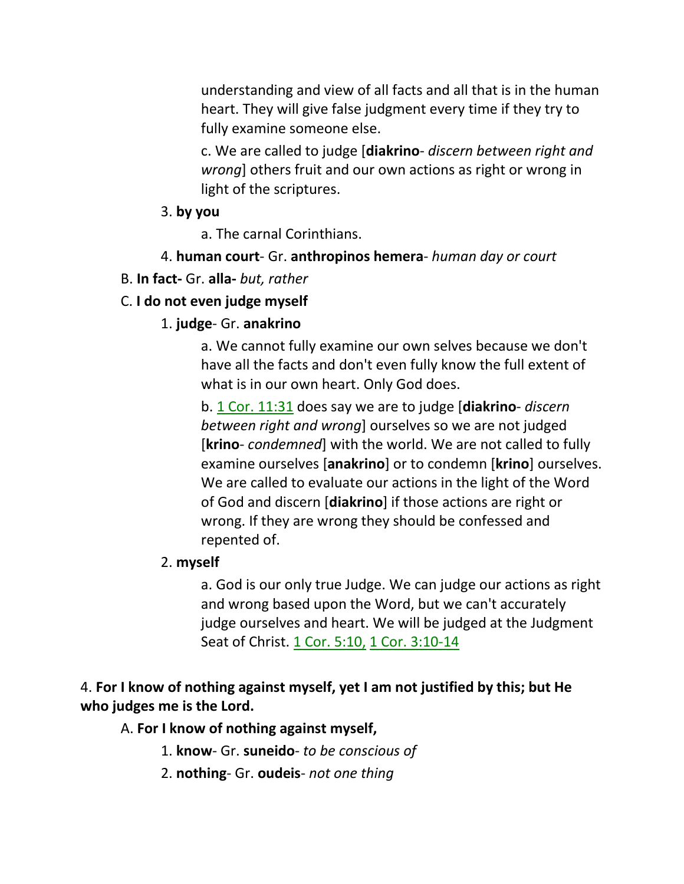understanding and view of all facts and all that is in the human heart. They will give false judgment every time if they try to fully examine someone else.

c. We are called to judge [**diakrino**- *discern between right and wrong*] others fruit and our own actions as right or wrong in light of the scriptures.

### 3. **by you**

a. The carnal Corinthians.

## 4. **human court**- Gr. **anthropinos hemera**- *human day or court*

## B. **In fact-** Gr. **alla-** *but, rather*

## C. **I do not even judge myself**

### 1. **judge**- Gr. **anakrino**

a. We cannot fully examine our own selves because we don't have all the facts and don't even fully know the full extent of what is in our own heart. Only God does.

b. 1 Cor. 11:31 does say we are to judge [**diakrino**- *discern between right and wrong*] ourselves so we are not judged [**krino**- *condemned*] with the world. We are not called to fully examine ourselves [**anakrino**] or to condemn [**krino**] ourselves. We are called to evaluate our actions in the light of the Word of God and discern [**diakrino**] if those actions are right or wrong. If they are wrong they should be confessed and repented of.

### 2. **myself**

a. God is our only true Judge. We can judge our actions as right and wrong based upon the Word, but we can't accurately judge ourselves and heart. We will be judged at the Judgment Seat of Christ. 1 Cor. 5:10, 1 Cor. 3:10-14

## 4. **For I know of nothing against myself, yet I am not justified by this; but He who judges me is the Lord.**

A. **For I know of nothing against myself,**

- 1. **know** Gr. **suneido** *to be conscious of*
- 2. **nothing** Gr. **oudeis** *not one thing*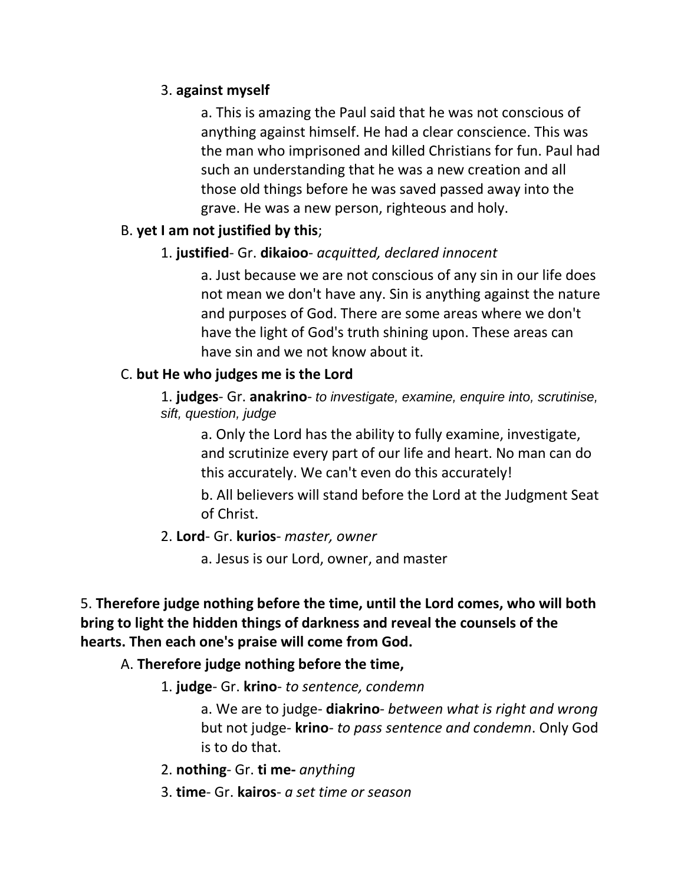## 3. **against myself**

a. This is amazing the Paul said that he was not conscious of anything against himself. He had a clear conscience. This was the man who imprisoned and killed Christians for fun. Paul had such an understanding that he was a new creation and all those old things before he was saved passed away into the grave. He was a new person, righteous and holy.

## B. **yet I am not justified by this**;

## 1. **justified**- Gr. **dikaioo**- *acquitted, declared innocent*

a. Just because we are not conscious of any sin in our life does not mean we don't have any. Sin is anything against the nature and purposes of God. There are some areas where we don't have the light of God's truth shining upon. These areas can have sin and we not know about it.

### C. **but He who judges me is the Lord**

1. **judges**- Gr. **anakrino**- *to investigate, examine, enquire into, scrutinise, sift, question, judge*

a. Only the Lord has the ability to fully examine, investigate, and scrutinize every part of our life and heart. No man can do this accurately. We can't even do this accurately!

b. All believers will stand before the Lord at the Judgment Seat of Christ.

### 2. **Lord**- Gr. **kurios**- *master, owner*

a. Jesus is our Lord, owner, and master

# 5. **Therefore judge nothing before the time, until the Lord comes, who will both bring to light the hidden things of darkness and reveal the counsels of the hearts. Then each one's praise will come from God.**

## A. **Therefore judge nothing before the time,**

1. **judge**- Gr. **krino**- *to sentence, condemn*

a. We are to judge- **diakrino**- *between what is right and wrong*  but not judge- **krino**- *to pass sentence and condemn*. Only God is to do that.

- 2. **nothing** Gr. **ti me-** *anything*
- 3. **time** Gr. **kairos** *a set time or season*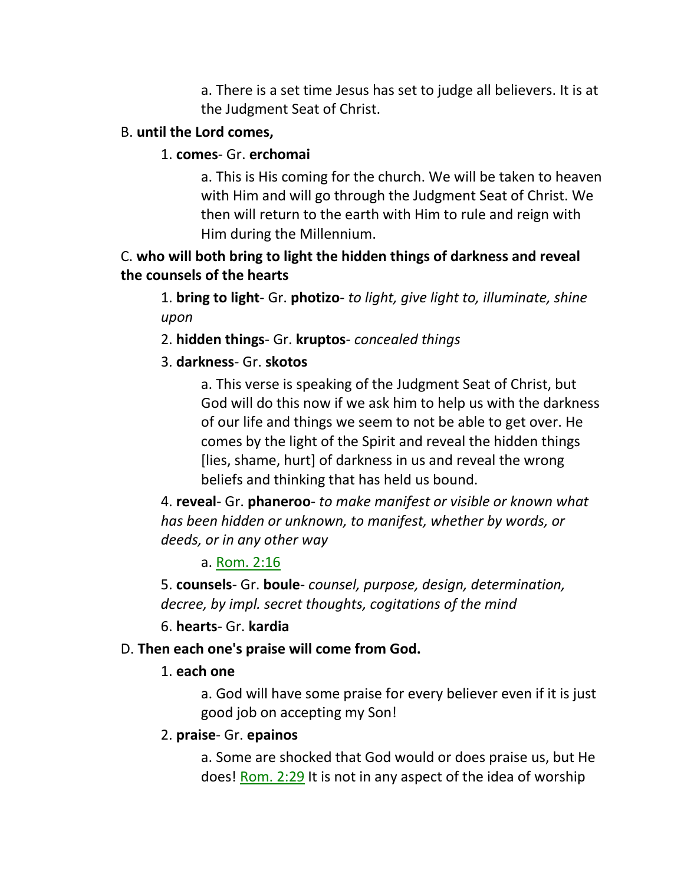a. There is a set time Jesus has set to judge all believers. It is at the Judgment Seat of Christ.

### B. **until the Lord comes,**

### 1. **comes**- Gr. **erchomai**

a. This is His coming for the church. We will be taken to heaven with Him and will go through the Judgment Seat of Christ. We then will return to the earth with Him to rule and reign with Him during the Millennium.

# C. **who will both bring to light the hidden things of darkness and reveal the counsels of the hearts**

1. **bring to light**- Gr. **photizo**- *to light, give light to, illuminate, shine upon*

### 2. **hidden things**- Gr. **kruptos**- *concealed things*

## 3. **darkness**- Gr. **skotos**

a. This verse is speaking of the Judgment Seat of Christ, but God will do this now if we ask him to help us with the darkness of our life and things we seem to not be able to get over. He comes by the light of the Spirit and reveal the hidden things [lies, shame, hurt] of darkness in us and reveal the wrong beliefs and thinking that has held us bound.

4. **reveal**- Gr. **phaneroo**- *to make manifest or visible or known what has been hidden or unknown, to manifest, whether by words, or deeds, or in any other way*

### a. Rom. 2:16

5. **counsels**- Gr. **boule**- *counsel, purpose, design, determination, decree, by impl. secret thoughts, cogitations of the mind*

### 6. **hearts**- Gr. **kardia**

## D. **Then each one's praise will come from God.**

## 1. **each one**

a. God will have some praise for every believer even if it is just good job on accepting my Son!

## 2. **praise**- Gr. **epainos**

a. Some are shocked that God would or does praise us, but He does! Rom. 2:29 It is not in any aspect of the idea of worship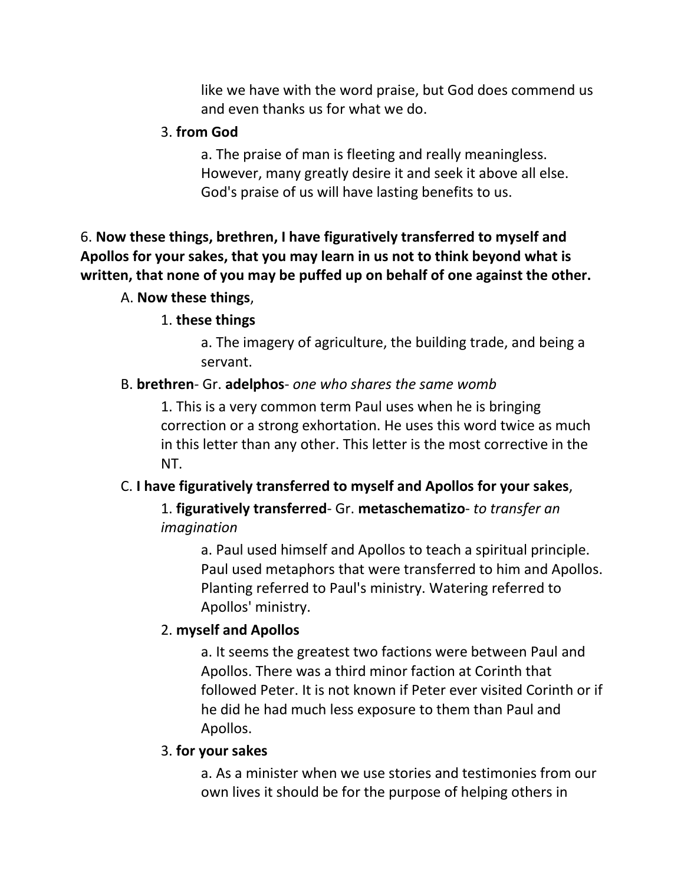like we have with the word praise, but God does commend us and even thanks us for what we do.

#### 3. **from God**

a. The praise of man is fleeting and really meaningless. However, many greatly desire it and seek it above all else. God's praise of us will have lasting benefits to us.

# 6. **Now these things, brethren, I have figuratively transferred to myself and Apollos for your sakes, that you may learn in us not to think beyond what is written, that none of you may be puffed up on behalf of one against the other.**

### A. **Now these things**,

### 1. **these things**

a. The imagery of agriculture, the building trade, and being a servant.

### B. **brethren**- Gr. **adelphos**- *one who shares the same womb*

1. This is a very common term Paul uses when he is bringing correction or a strong exhortation. He uses this word twice as much in this letter than any other. This letter is the most corrective in the NT.

### C. **I have figuratively transferred to myself and Apollos for your sakes**,

1. **figuratively transferred**- Gr. **metaschematizo**- *to transfer an imagination*

> a. Paul used himself and Apollos to teach a spiritual principle. Paul used metaphors that were transferred to him and Apollos. Planting referred to Paul's ministry. Watering referred to Apollos' ministry.

### 2. **myself and Apollos**

a. It seems the greatest two factions were between Paul and Apollos. There was a third minor faction at Corinth that followed Peter. It is not known if Peter ever visited Corinth or if he did he had much less exposure to them than Paul and Apollos.

### 3. **for your sakes**

a. As a minister when we use stories and testimonies from our own lives it should be for the purpose of helping others in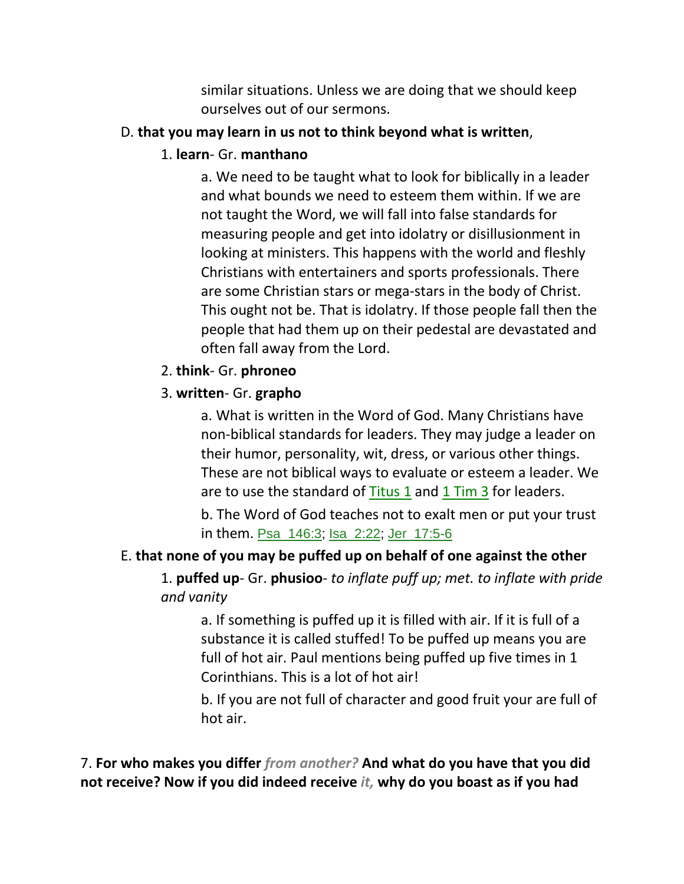similar situations. Unless we are doing that we should keep ourselves out of our sermons.

### D. **that you may learn in us not to think beyond what is written**,

### 1. **learn**- Gr. **manthano**

a. We need to be taught what to look for biblically in a leader and what bounds we need to esteem them within. If we are not taught the Word, we will fall into false standards for measuring people and get into idolatry or disillusionment in looking at ministers. This happens with the world and fleshly Christians with entertainers and sports professionals. There are some Christian stars or mega-stars in the body of Christ. This ought not be. That is idolatry. If those people fall then the people that had them up on their pedestal are devastated and often fall away from the Lord.

#### 2. **think**- Gr. **phroneo**

### 3. **written**- Gr. **grapho**

a. What is written in the Word of God. Many Christians have non-biblical standards for leaders. They may judge a leader on their humor, personality, wit, dress, or various other things. These are not biblical ways to evaluate or esteem a leader. We are to use the standard of Titus 1 and 1 Tim 3 for leaders.

b. The Word of God teaches not to exalt men or put your trust in them. Psa\_146:3; Isa\_2:22; Jer\_17:5-6

### E. **that none of you may be puffed up on behalf of one against the other**

1. **puffed up**- Gr. **phusioo**- *to inflate puff up; met. to inflate with pride and vanity*

a. If something is puffed up it is filled with air. If it is full of a substance it is called stuffed! To be puffed up means you are full of hot air. Paul mentions being puffed up five times in 1 Corinthians. This is a lot of hot air!

b. If you are not full of character and good fruit your are full of hot air.

7. **For who makes you differ** *from another?* **And what do you have that you did not receive? Now if you did indeed receive** *it,* **why do you boast as if you had**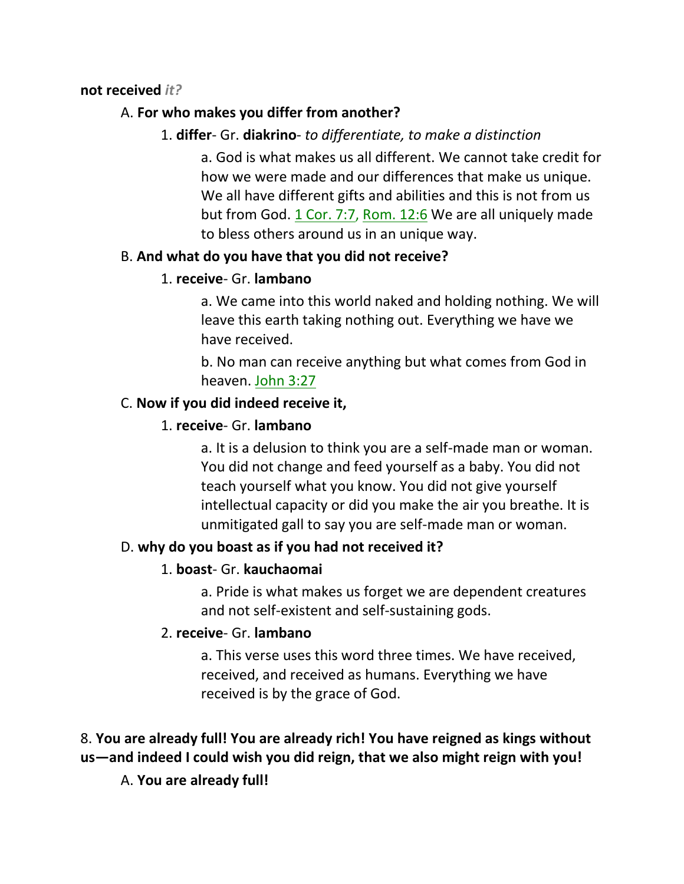#### **not received** *it?*

### A. **For who makes you differ from another?**

## 1. **differ**- Gr. **diakrino**- *to differentiate, to make a distinction*

a. God is what makes us all different. We cannot take credit for how we were made and our differences that make us unique. We all have different gifts and abilities and this is not from us but from God. 1 Cor. 7:7, Rom. 12:6 We are all uniquely made to bless others around us in an unique way.

### B. **And what do you have that you did not receive?**

### 1. **receive**- Gr. **lambano**

a. We came into this world naked and holding nothing. We will leave this earth taking nothing out. Everything we have we have received.

b. No man can receive anything but what comes from God in heaven. John 3:27

### C. **Now if you did indeed receive it,**

### 1. **receive**- Gr. **lambano**

a. It is a delusion to think you are a self-made man or woman. You did not change and feed yourself as a baby. You did not teach yourself what you know. You did not give yourself intellectual capacity or did you make the air you breathe. It is unmitigated gall to say you are self-made man or woman.

## D. **why do you boast as if you had not received it?**

### 1. **boast**- Gr. **kauchaomai**

a. Pride is what makes us forget we are dependent creatures and not self-existent and self-sustaining gods.

### 2. **receive**- Gr. **lambano**

a. This verse uses this word three times. We have received, received, and received as humans. Everything we have received is by the grace of God.

# 8. **You are already full! You are already rich! You have reigned as kings without us—and indeed I could wish you did reign, that we also might reign with you!**

# A. **You are already full!**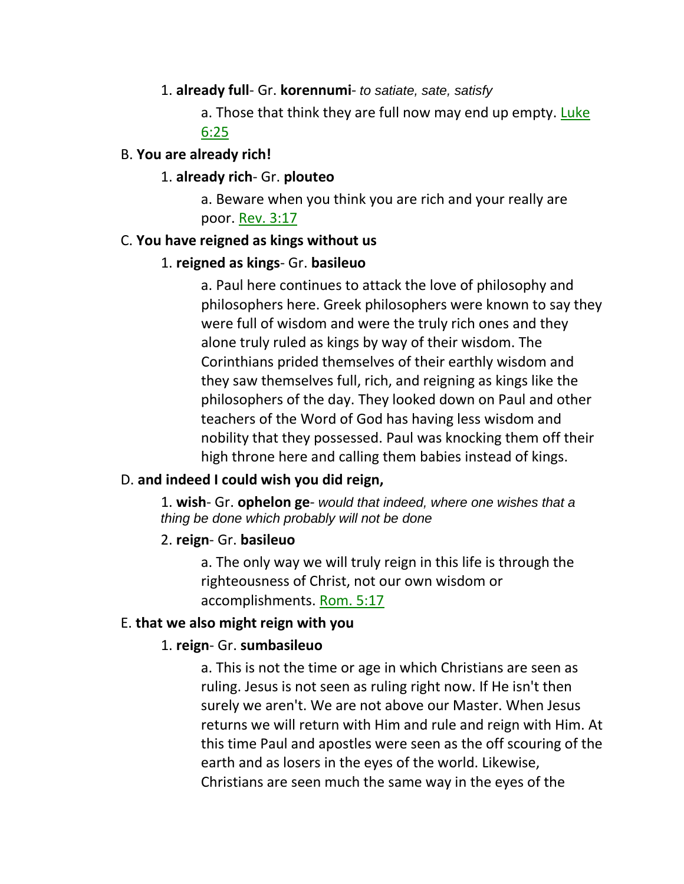#### 1. **already full**- Gr. **korennumi**- *to satiate, sate, satisfy*

a. Those that think they are full now may end up empty. Luke 6:25

#### B. **You are already rich!**

#### 1. **already rich**- Gr. **plouteo**

a. Beware when you think you are rich and your really are poor. Rev. 3:17

#### C. **You have reigned as kings without us**

### 1. **reigned as kings**- Gr. **basileuo**

a. Paul here continues to attack the love of philosophy and philosophers here. Greek philosophers were known to say they were full of wisdom and were the truly rich ones and they alone truly ruled as kings by way of their wisdom. The Corinthians prided themselves of their earthly wisdom and they saw themselves full, rich, and reigning as kings like the philosophers of the day. They looked down on Paul and other teachers of the Word of God has having less wisdom and nobility that they possessed. Paul was knocking them off their high throne here and calling them babies instead of kings.

### D. **and indeed I could wish you did reign,**

1. **wish**- Gr. **ophelon ge**- *would that indeed, where one wishes that a thing be done which probably will not be done*

### 2. **reign**- Gr. **basileuo**

a. The only way we will truly reign in this life is through the righteousness of Christ, not our own wisdom or accomplishments. Rom. 5:17

#### E. **that we also might reign with you**

### 1. **reign**- Gr. **sumbasileuo**

a. This is not the time or age in which Christians are seen as ruling. Jesus is not seen as ruling right now. If He isn't then surely we aren't. We are not above our Master. When Jesus returns we will return with Him and rule and reign with Him. At this time Paul and apostles were seen as the off scouring of the earth and as losers in the eyes of the world. Likewise, Christians are seen much the same way in the eyes of the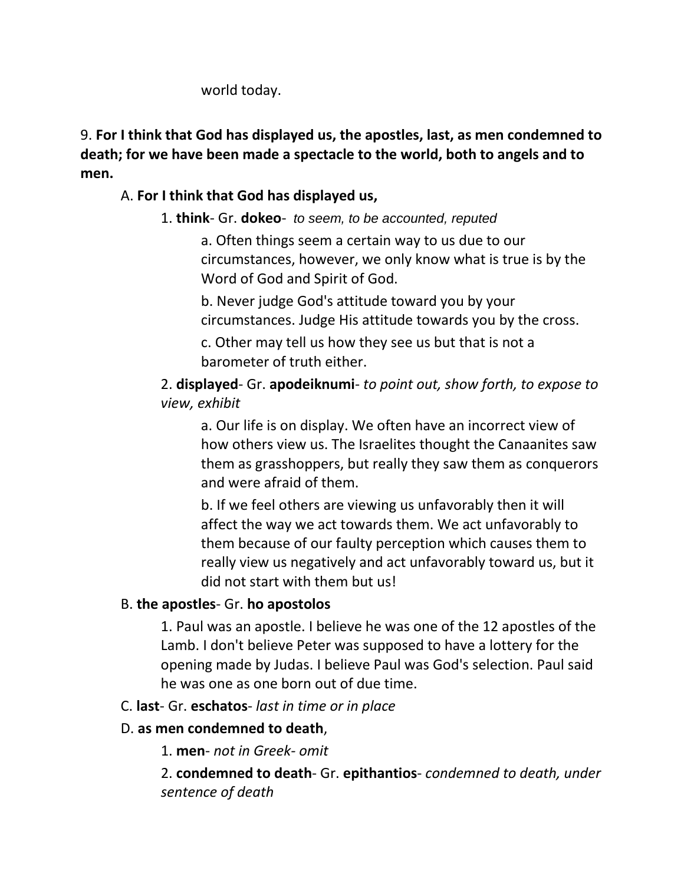world today.

9. **For I think that God has displayed us, the apostles, last, as men condemned to death; for we have been made a spectacle to the world, both to angels and to men.** 

# A. **For I think that God has displayed us,**

# 1. **think**- Gr. **dokeo**- *to seem, to be accounted, reputed*

a. Often things seem a certain way to us due to our circumstances, however, we only know what is true is by the Word of God and Spirit of God.

b. Never judge God's attitude toward you by your circumstances. Judge His attitude towards you by the cross.

c. Other may tell us how they see us but that is not a barometer of truth either.

# 2. **displayed**- Gr. **apodeiknumi**- *to point out, show forth, to expose to view, exhibit*

a. Our life is on display. We often have an incorrect view of how others view us. The Israelites thought the Canaanites saw them as grasshoppers, but really they saw them as conquerors and were afraid of them.

b. If we feel others are viewing us unfavorably then it will affect the way we act towards them. We act unfavorably to them because of our faulty perception which causes them to really view us negatively and act unfavorably toward us, but it did not start with them but us!

# B. **the apostles**- Gr. **ho apostolos**

1. Paul was an apostle. I believe he was one of the 12 apostles of the Lamb. I don't believe Peter was supposed to have a lottery for the opening made by Judas. I believe Paul was God's selection. Paul said he was one as one born out of due time.

# C. **last**- Gr. **eschatos**- *last in time or in place*

# D. **as men condemned to death**,

1. **men**- *not in Greek- omit*

2. **condemned to death**- Gr. **epithantios**- *condemned to death, under sentence of death*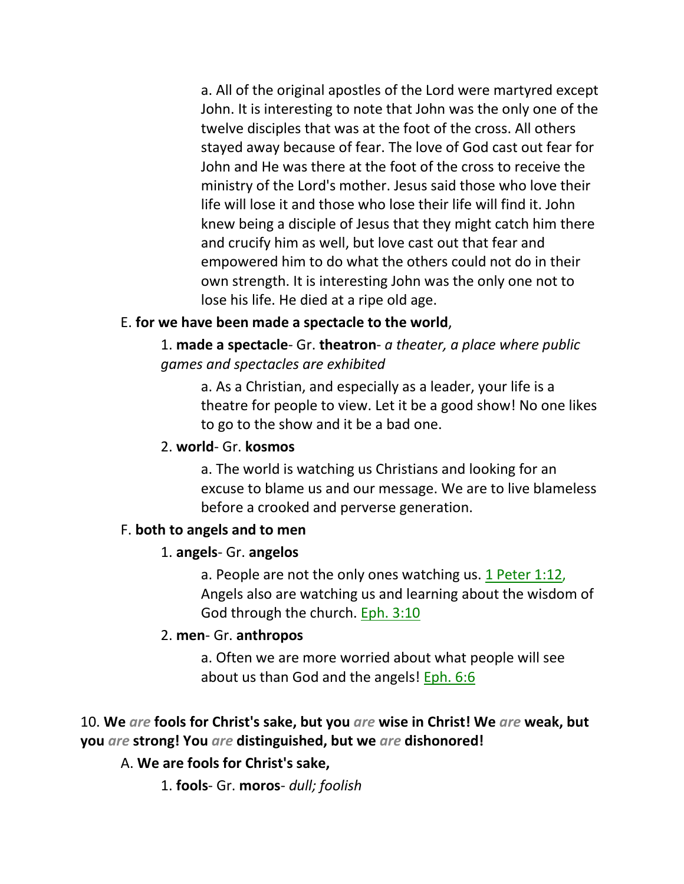a. All of the original apostles of the Lord were martyred except John. It is interesting to note that John was the only one of the twelve disciples that was at the foot of the cross. All others stayed away because of fear. The love of God cast out fear for John and He was there at the foot of the cross to receive the ministry of the Lord's mother. Jesus said those who love their life will lose it and those who lose their life will find it. John knew being a disciple of Jesus that they might catch him there and crucify him as well, but love cast out that fear and empowered him to do what the others could not do in their own strength. It is interesting John was the only one not to lose his life. He died at a ripe old age.

#### E. **for we have been made a spectacle to the world**,

## 1. **made a spectacle**- Gr. **theatron**- *a theater, a place where public games and spectacles are exhibited*

a. As a Christian, and especially as a leader, your life is a theatre for people to view. Let it be a good show! No one likes to go to the show and it be a bad one.

#### 2. **world**- Gr. **kosmos**

a. The world is watching us Christians and looking for an excuse to blame us and our message. We are to live blameless before a crooked and perverse generation.

### F. **both to angels and to men**

#### 1. **angels**- Gr. **angelos**

a. People are not the only ones watching us.  $1$  Peter 1:12, Angels also are watching us and learning about the wisdom of God through the church. Eph. 3:10

### 2. **men**- Gr. **anthropos**

a. Often we are more worried about what people will see about us than God and the angels! **Eph. 6:6** 

# 10. **We** *are* **fools for Christ's sake, but you** *are* **wise in Christ! We** *are* **weak, but you** *are* **strong! You** *are* **distinguished, but we** *are* **dishonored!**

### A. **We are fools for Christ's sake,**

1. **fools**- Gr. **moros**- *dull; foolish*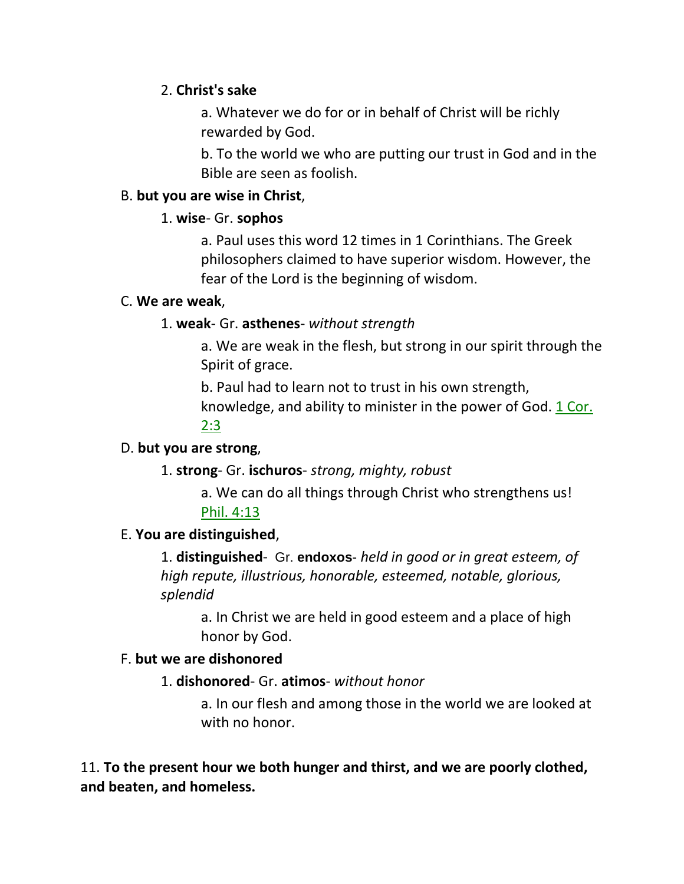### 2. **Christ's sake**

a. Whatever we do for or in behalf of Christ will be richly rewarded by God.

b. To the world we who are putting our trust in God and in the Bible are seen as foolish.

### B. **but you are wise in Christ**,

### 1. **wise**- Gr. **sophos**

a. Paul uses this word 12 times in 1 Corinthians. The Greek philosophers claimed to have superior wisdom. However, the fear of the Lord is the beginning of wisdom.

### C. **We are weak**,

## 1. **weak**- Gr. **asthenes**- *without strength*

a. We are weak in the flesh, but strong in our spirit through the Spirit of grace.

b. Paul had to learn not to trust in his own strength, knowledge, and ability to minister in the power of God. 1 Cor. 2:3

### D. **but you are strong**,

## 1. **strong**- Gr. **ischuros**- *strong, mighty, robust*

a. We can do all things through Christ who strengthens us! Phil. 4:13

## E. **You are distinguished**,

1. **distinguished**- Gr. **endoxos**- *held in good or in great esteem, of high repute, illustrious, honorable, esteemed, notable, glorious, splendid*

a. In Christ we are held in good esteem and a place of high honor by God.

### F. **but we are dishonored**

## 1. **dishonored**- Gr. **atimos**- *without honor*

a. In our flesh and among those in the world we are looked at with no honor.

11. **To the present hour we both hunger and thirst, and we are poorly clothed, and beaten, and homeless.**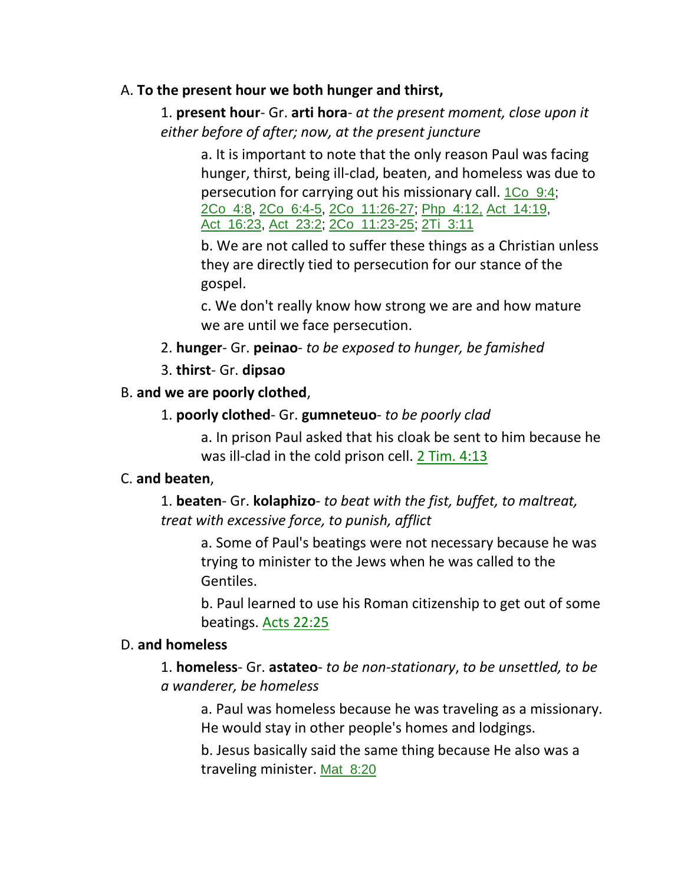### A. **To the present hour we both hunger and thirst,**

# 1. **present hour**- Gr. **arti hora**- *at the present moment, close upon it either before of after; now, at the present juncture*

a. It is important to note that the only reason Paul was facing hunger, thirst, being ill-clad, beaten, and homeless was due to persecution for carrying out his missionary call. 1Co\_9:4; 2Co\_4:8, 2Co\_6:4-5, 2Co\_11:26-27; Php\_4:12, Act\_14:19, Act\_16:23, Act\_23:2; 2Co\_11:23-25; 2Ti\_3:11

b. We are not called to suffer these things as a Christian unless they are directly tied to persecution for our stance of the gospel.

c. We don't really know how strong we are and how mature we are until we face persecution.

2. **hunger**- Gr. **peinao**- *to be exposed to hunger, be famished*

### 3. **thirst**- Gr. **dipsao**

### B. **and we are poorly clothed**,

### 1. **poorly clothed**- Gr. **gumneteuo**- *to be poorly clad*

a. In prison Paul asked that his cloak be sent to him because he was ill-clad in the cold prison cell. 2 Tim. 4:13

### C. **and beaten**,

1. **beaten**- Gr. **kolaphizo**- *to beat with the fist, buffet, to maltreat, treat with excessive force, to punish, afflict*

a. Some of Paul's beatings were not necessary because he was trying to minister to the Jews when he was called to the Gentiles.

b. Paul learned to use his Roman citizenship to get out of some beatings. Acts 22:25

### D. **and homeless**

1. **homeless**- Gr. **astateo**- *to be non-stationary*, *to be unsettled, to be a wanderer, be homeless*

a. Paul was homeless because he was traveling as a missionary. He would stay in other people's homes and lodgings.

b. Jesus basically said the same thing because He also was a traveling minister. Mat\_8:20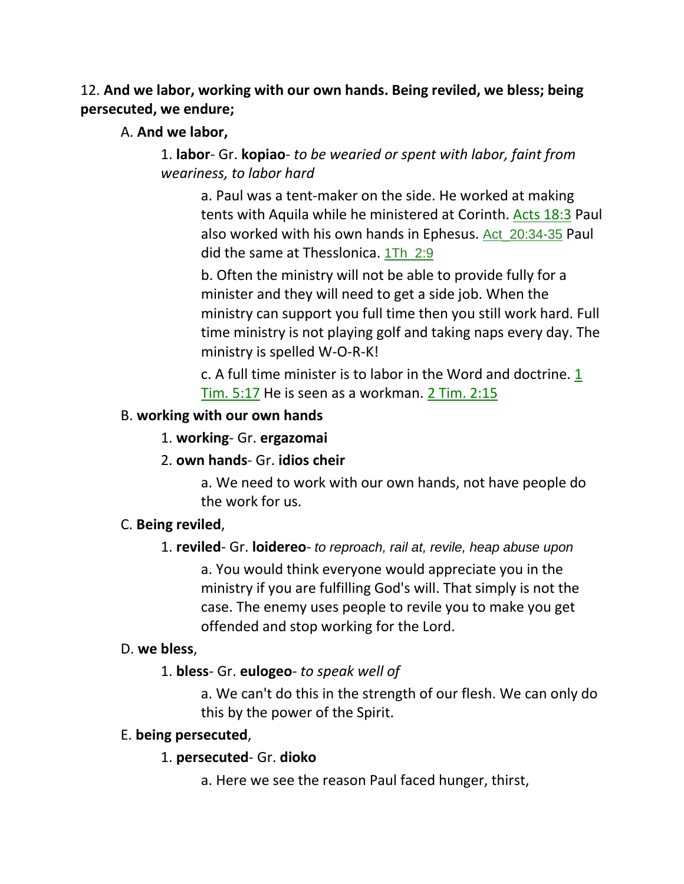## 12. **And we labor, working with our own hands. Being reviled, we bless; being persecuted, we endure;**

### A. **And we labor,**

1. **labor**- Gr. **kopiao**- *to be wearied or spent with labor, faint from weariness, to labor hard*

a. Paul was a tent-maker on the side. He worked at making tents with Aquila while he ministered at Corinth. Acts 18:3 Paul also worked with his own hands in Ephesus. Act\_20:34-35 Paul did the same at Thesslonica. 1Th\_2:9

b. Often the ministry will not be able to provide fully for a minister and they will need to get a side job. When the ministry can support you full time then you still work hard. Full time ministry is not playing golf and taking naps every day. The ministry is spelled W-O-R-K!

c. A full time minister is to labor in the Word and doctrine. 1 Tim. 5:17 He is seen as a workman. 2 Tim. 2:15

### B. **working with our own hands**

### 1. **working**- Gr. **ergazomai**

### 2. **own hands**- Gr. **idios cheir**

a. We need to work with our own hands, not have people do the work for us.

## C. **Being reviled**,

### 1. **reviled**- Gr. **loidereo**- *to reproach, rail at, revile, heap abuse upon*

a. You would think everyone would appreciate you in the ministry if you are fulfilling God's will. That simply is not the case. The enemy uses people to revile you to make you get offended and stop working for the Lord.

### D. **we bless**,

## 1. **bless**- Gr. **eulogeo**- *to speak well of*

a. We can't do this in the strength of our flesh. We can only do this by the power of the Spirit.

### E. **being persecuted**,

## 1. **persecuted**- Gr. **dioko**

a. Here we see the reason Paul faced hunger, thirst,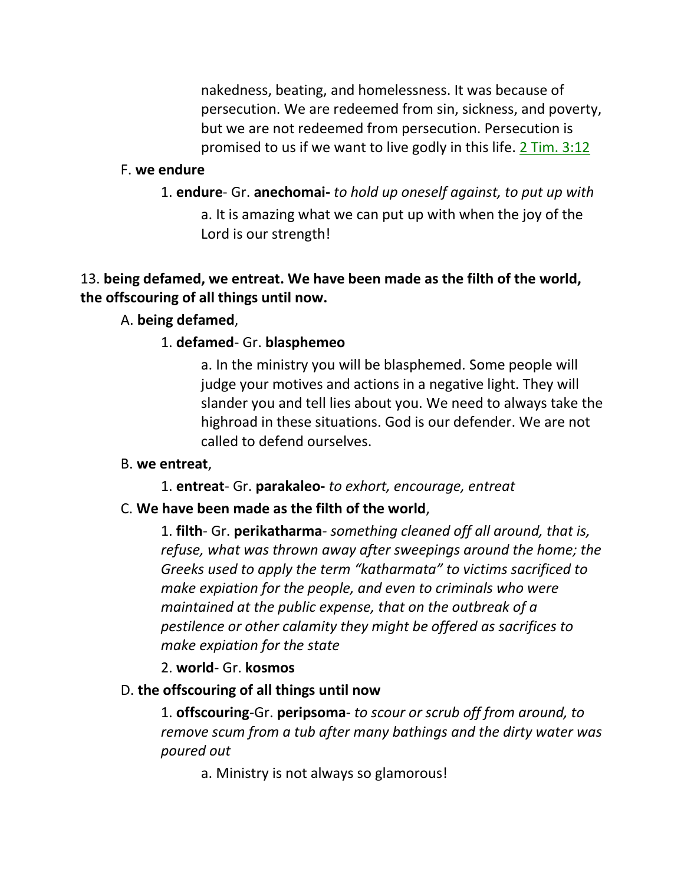nakedness, beating, and homelessness. It was because of persecution. We are redeemed from sin, sickness, and poverty, but we are not redeemed from persecution. Persecution is promised to us if we want to live godly in this life. 2 Tim. 3:12

#### F. **we endure**

1. **endure**- Gr. **anechomai-** *to hold up oneself against, to put up with* a. It is amazing what we can put up with when the joy of the Lord is our strength!

### 13. **being defamed, we entreat. We have been made as the filth of the world, the offscouring of all things until now.**

#### A. **being defamed**,

#### 1. **defamed**- Gr. **blasphemeo**

a. In the ministry you will be blasphemed. Some people will judge your motives and actions in a negative light. They will slander you and tell lies about you. We need to always take the highroad in these situations. God is our defender. We are not called to defend ourselves.

#### B. **we entreat**,

1. **entreat**- Gr. **parakaleo-** *to exhort, encourage, entreat*

#### C. **We have been made as the filth of the world**,

1. **filth**- Gr. **perikatharma**- *something cleaned off all around, that is, refuse, what was thrown away after sweepings around the home; the Greeks used to apply the term "katharmata" to victims sacrificed to make expiation for the people, and even to criminals who were maintained at the public expense, that on the outbreak of a pestilence or other calamity they might be offered as sacrifices to make expiation for the state*

#### 2. **world**- Gr. **kosmos**

#### D. **the offscouring of all things until now**

1. **offscouring**-Gr. **peripsoma**- *to scour or scrub off from around, to remove scum from a tub after many bathings and the dirty water was poured out*

a. Ministry is not always so glamorous!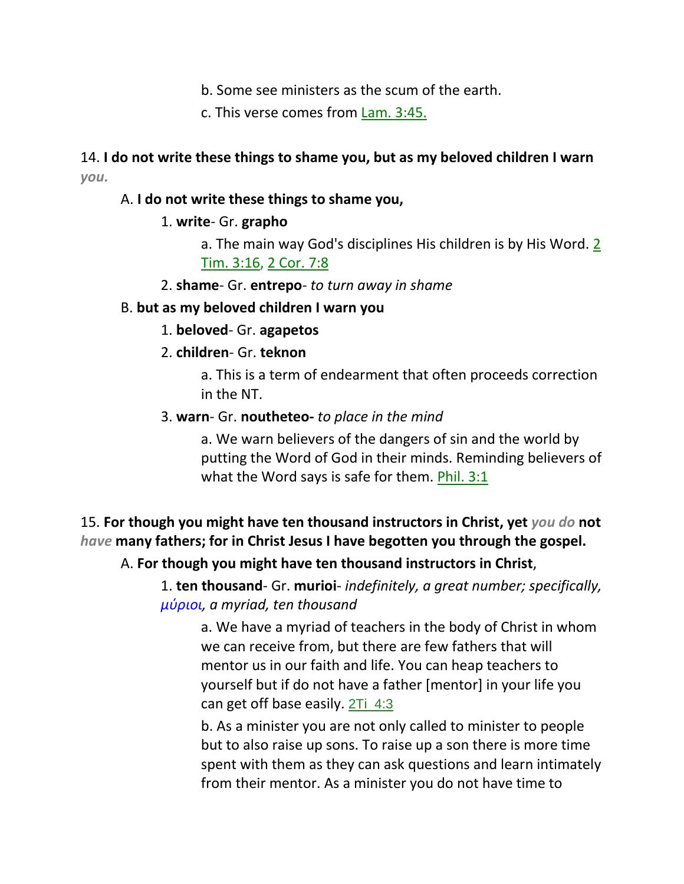- b. Some see ministers as the scum of the earth.
- c. This verse comes from Lam. 3:45.

### 14. **I do not write these things to shame you, but as my beloved children I warn**  *you.*

#### A. **I do not write these things to shame you,**

### 1. **write**- Gr. **grapho**

- a. The main way God's disciplines His children is by His Word. 2 Tim. 3:16, 2 Cor. 7:8
- 2. **shame** Gr. **entrepo** *to turn away in shame*

#### B. **but as my beloved children I warn you**

### 1. **beloved**- Gr. **agapetos**

### 2. **children**- Gr. **teknon**

a. This is a term of endearment that often proceeds correction in the NT.

#### 3. **warn**- Gr. **noutheteo-** *to place in the mind*

a. We warn believers of the dangers of sin and the world by putting the Word of God in their minds. Reminding believers of what the Word says is safe for them. Phil. 3:1

# 15. **For though you might have ten thousand instructors in Christ, yet** *you do* **not**  *have* **many fathers; for in Christ Jesus I have begotten you through the gospel.**

### A. **For though you might have ten thousand instructors in Christ**,

1. **ten thousand**- Gr. **murioi**- *indefinitely, a great number; specifically, μύριοι, a myriad, ten thousand*

a. We have a myriad of teachers in the body of Christ in whom we can receive from, but there are few fathers that will mentor us in our faith and life. You can heap teachers to yourself but if do not have a father [mentor] in your life you can get off base easily.  $2Ti$  4:3

b. As a minister you are not only called to minister to people but to also raise up sons. To raise up a son there is more time spent with them as they can ask questions and learn intimately from their mentor. As a minister you do not have time to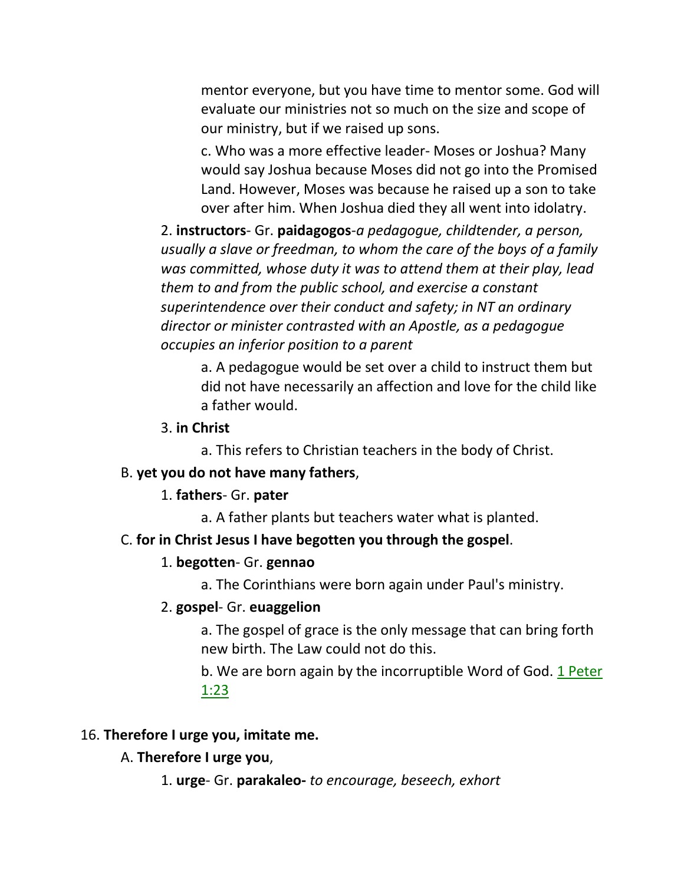mentor everyone, but you have time to mentor some. God will evaluate our ministries not so much on the size and scope of our ministry, but if we raised up sons.

c. Who was a more effective leader- Moses or Joshua? Many would say Joshua because Moses did not go into the Promised Land. However, Moses was because he raised up a son to take over after him. When Joshua died they all went into idolatry.

2. **instructors**- Gr. **paidagogos**-*a pedagogue, childtender, a person, usually a slave or freedman, to whom the care of the boys of a family was committed, whose duty it was to attend them at their play, lead them to and from the public school, and exercise a constant superintendence over their conduct and safety; in NT an ordinary director or minister contrasted with an Apostle, as a pedagogue occupies an inferior position to a parent*

a. A pedagogue would be set over a child to instruct them but did not have necessarily an affection and love for the child like a father would.

#### 3. **in Christ**

a. This refers to Christian teachers in the body of Christ.

#### B. **yet you do not have many fathers**,

#### 1. **fathers**- Gr. **pater**

a. A father plants but teachers water what is planted.

#### C. **for in Christ Jesus I have begotten you through the gospel**.

#### 1. **begotten**- Gr. **gennao**

a. The Corinthians were born again under Paul's ministry.

#### 2. **gospel**- Gr. **euaggelion**

a. The gospel of grace is the only message that can bring forth new birth. The Law could not do this.

b. We are born again by the incorruptible Word of God. 1 Peter 1:23

#### 16. **Therefore I urge you, imitate me.**

A. **Therefore I urge you**,

1. **urge**- Gr. **parakaleo-** *to encourage, beseech, exhort*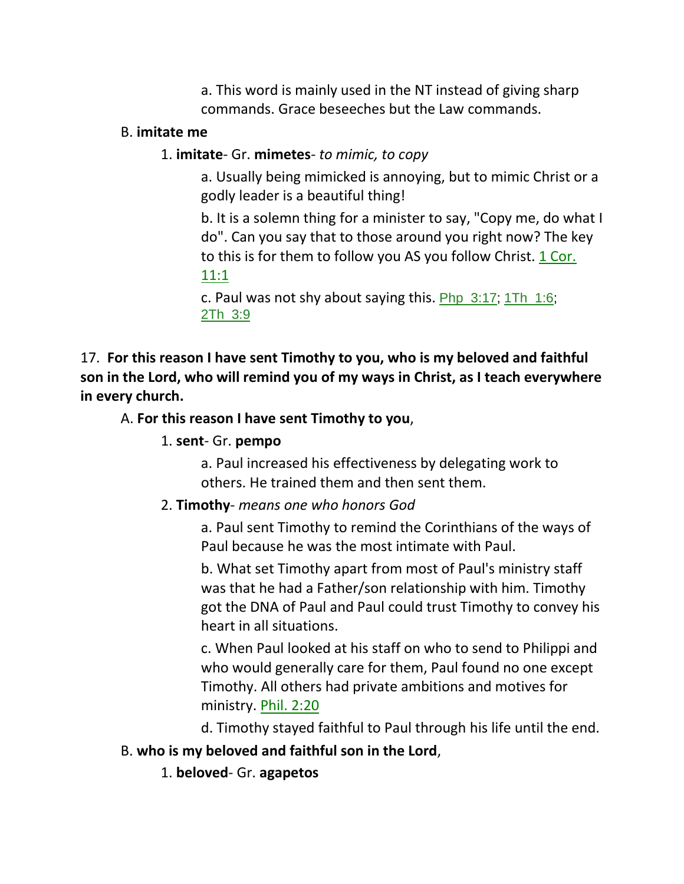a. This word is mainly used in the NT instead of giving sharp commands. Grace beseeches but the Law commands.

### B. **imitate me**

## 1. **imitate**- Gr. **mimetes**- *to mimic, to copy*

a. Usually being mimicked is annoying, but to mimic Christ or a godly leader is a beautiful thing!

b. It is a solemn thing for a minister to say, "Copy me, do what I do". Can you say that to those around you right now? The key to this is for them to follow you AS you follow Christ. 1 Cor. 11:1

c. Paul was not shy about saying this.  $Php_3:17$ ;  $1Th_1:6$ ; 2Th\_3:9

17. **For this reason I have sent Timothy to you, who is my beloved and faithful son in the Lord, who will remind you of my ways in Christ, as I teach everywhere in every church.** 

# A. **For this reason I have sent Timothy to you**,

### 1. **sent**- Gr. **pempo**

a. Paul increased his effectiveness by delegating work to others. He trained them and then sent them.

## 2. **Timothy**- *means one who honors God*

a. Paul sent Timothy to remind the Corinthians of the ways of Paul because he was the most intimate with Paul.

b. What set Timothy apart from most of Paul's ministry staff was that he had a Father/son relationship with him. Timothy got the DNA of Paul and Paul could trust Timothy to convey his heart in all situations.

c. When Paul looked at his staff on who to send to Philippi and who would generally care for them, Paul found no one except Timothy. All others had private ambitions and motives for ministry. Phil. 2:20

d. Timothy stayed faithful to Paul through his life until the end.

# B. **who is my beloved and faithful son in the Lord**,

1. **beloved**- Gr. **agapetos**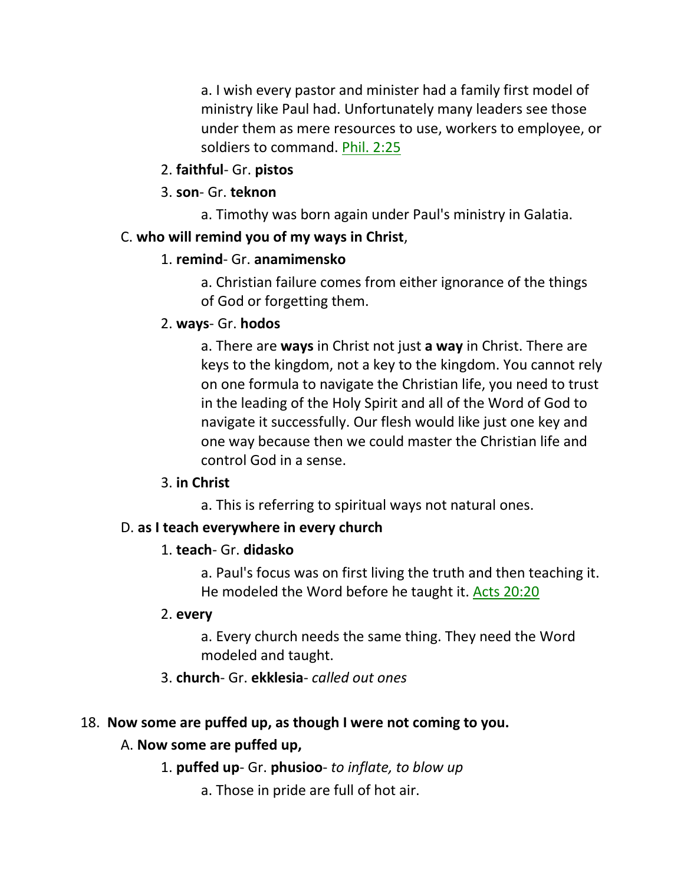a. I wish every pastor and minister had a family first model of ministry like Paul had. Unfortunately many leaders see those under them as mere resources to use, workers to employee, or soldiers to command. Phil. 2:25

2. **faithful**- Gr. **pistos**

## 3. **son**- Gr. **teknon**

a. Timothy was born again under Paul's ministry in Galatia.

# C. **who will remind you of my ways in Christ**,

# 1. **remind**- Gr. **anamimensko**

a. Christian failure comes from either ignorance of the things of God or forgetting them.

# 2. **ways**- Gr. **hodos**

a. There are **ways** in Christ not just **a way** in Christ. There are keys to the kingdom, not a key to the kingdom. You cannot rely on one formula to navigate the Christian life, you need to trust in the leading of the Holy Spirit and all of the Word of God to navigate it successfully. Our flesh would like just one key and one way because then we could master the Christian life and control God in a sense.

## 3. **in Christ**

a. This is referring to spiritual ways not natural ones.

# D. **as I teach everywhere in every church**

# 1. **teach**- Gr. **didasko**

a. Paul's focus was on first living the truth and then teaching it. He modeled the Word before he taught it. Acts 20:20

## 2. **every**

a. Every church needs the same thing. They need the Word modeled and taught.

# 3. **church**- Gr. **ekklesia**- *called out ones*

# 18. **Now some are puffed up, as though I were not coming to you.**

# A. **Now some are puffed up,**

- 1. **puffed up** Gr. **phusioo** *to inflate, to blow up*
	- a. Those in pride are full of hot air.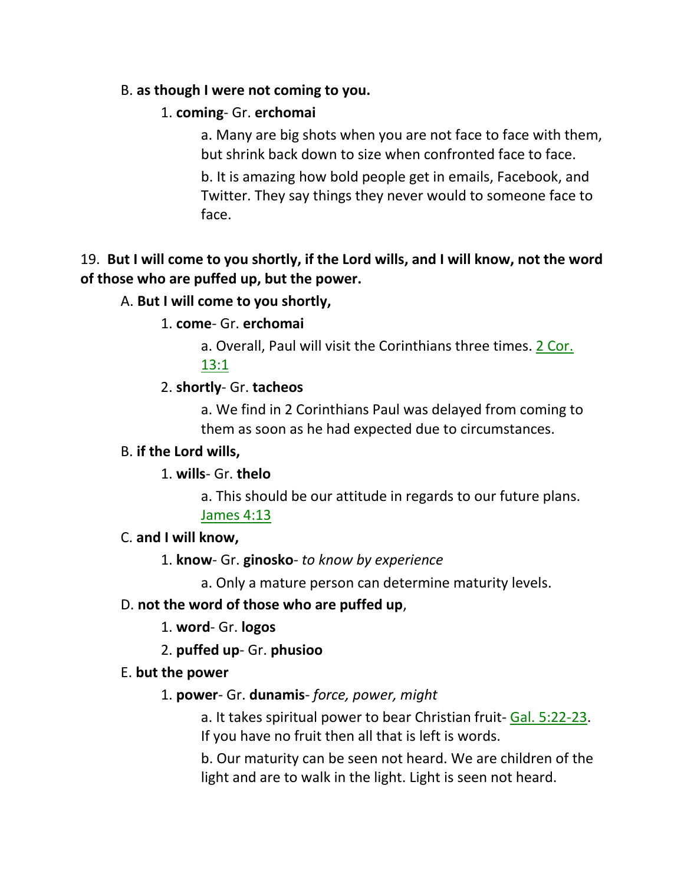### B. **as though I were not coming to you.**

### 1. **coming**- Gr. **erchomai**

a. Many are big shots when you are not face to face with them, but shrink back down to size when confronted face to face.

b. It is amazing how bold people get in emails, Facebook, and Twitter. They say things they never would to someone face to face.

# 19. **But I will come to you shortly, if the Lord wills, and I will know, not the word of those who are puffed up, but the power.**

### A. **But I will come to you shortly,**

### 1. **come**- Gr. **erchomai**

a. Overall, Paul will visit the Corinthians three times. 2 Cor. 13:1

### 2. **shortly**- Gr. **tacheos**

a. We find in 2 Corinthians Paul was delayed from coming to them as soon as he had expected due to circumstances.

### B. **if the Lord wills,**

### 1. **wills**- Gr. **thelo**

a. This should be our attitude in regards to our future plans. James 4:13

### C. **and I will know,**

1. **know**- Gr. **ginosko**- *to know by experience*

a. Only a mature person can determine maturity levels.

### D. **not the word of those who are puffed up**,

1. **word**- Gr. **logos**

2. **puffed up**- Gr. **phusioo**

### E. **but the power**

### 1. **power**- Gr. **dunamis**- *force, power, might*

a. It takes spiritual power to bear Christian fruit- Gal. 5:22-23. If you have no fruit then all that is left is words.

b. Our maturity can be seen not heard. We are children of the light and are to walk in the light. Light is seen not heard.